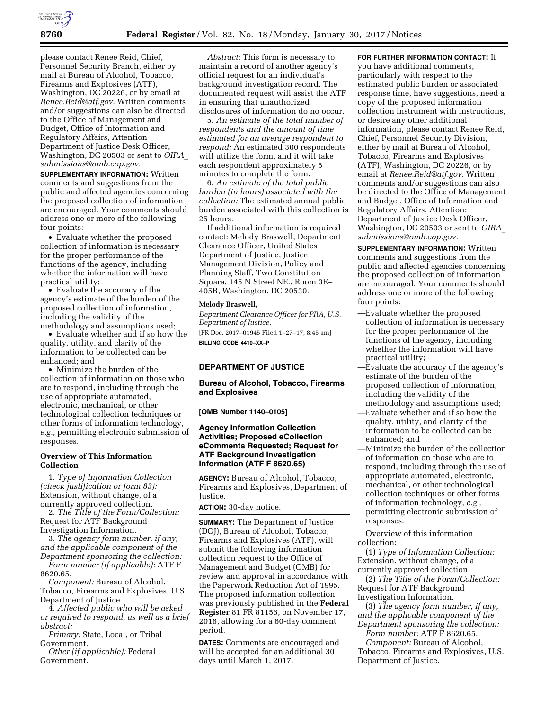

please contact Renee Reid, Chief, Personnel Security Branch, either by mail at Bureau of Alcohol, Tobacco, Firearms and Explosives (ATF), Washington, DC 20226, or by email at *[Renee.Reid@atf.gov.](mailto:Renee.Reid@atf.gov)* Written comments and/or suggestions can also be directed to the Office of Management and Budget, Office of Information and Regulatory Affairs, Attention Department of Justice Desk Officer, Washington, DC 20503 or sent to *[OIRA](mailto:OIRA_submissions@omb.eop.gov)*\_ *[submissions@omb.eop.gov.](mailto:OIRA_submissions@omb.eop.gov)* 

**SUPPLEMENTARY INFORMATION:** Written comments and suggestions from the public and affected agencies concerning the proposed collection of information are encouraged. Your comments should address one or more of the following four points:

• Evaluate whether the proposed collection of information is necessary for the proper performance of the functions of the agency, including whether the information will have practical utility;

• Evaluate the accuracy of the agency's estimate of the burden of the proposed collection of information, including the validity of the methodology and assumptions used;

• Evaluate whether and if so how the quality, utility, and clarity of the information to be collected can be enhanced; and

• Minimize the burden of the collection of information on those who are to respond, including through the use of appropriate automated, electronic, mechanical, or other technological collection techniques or other forms of information technology, *e.g.,* permitting electronic submission of responses.

#### **Overview of This Information Collection**

1. *Type of Information Collection (check justification or form 83):*  Extension, without change, of a currently approved collection.

2. *The Title of the Form/Collection:*  Request for ATF Background Investigation Information.

3. *The agency form number, if any, and the applicable component of the Department sponsoring the collection: Form number (if applicable):* ATF F 8620.65.

*Component:* Bureau of Alcohol, Tobacco, Firearms and Explosives, U.S. Department of Justice.

4. *Affected public who will be asked or required to respond, as well as a brief abstract:* 

*Primary:* State, Local, or Tribal Government.

*Other (if applicable):* Federal Government.

*Abstract:* This form is necessary to maintain a record of another agency's official request for an individual's background investigation record. The documented request will assist the ATF in ensuring that unauthorized disclosures of information do no occur.

5. *An estimate of the total number of respondents and the amount of time estimated for an average respondent to respond:* An estimated 300 respondents will utilize the form, and it will take each respondent approximately 5 minutes to complete the form.

6. *An estimate of the total public burden (in hours) associated with the collection:* The estimated annual public burden associated with this collection is 25 hours.

If additional information is required contact: Melody Braswell, Department Clearance Officer, United States Department of Justice, Justice Management Division, Policy and Planning Staff, Two Constitution Square, 145 N Street NE., Room 3E– 405B, Washington, DC 20530.

#### **Melody Braswell,**

*Department Clearance Officer for PRA, U.S. Department of Justice.*  [FR Doc. 2017–01945 Filed 1–27–17; 8:45 am]

**BILLING CODE 4410–XX–P** 

# **DEPARTMENT OF JUSTICE**

**Bureau of Alcohol, Tobacco, Firearms and Explosives** 

**[OMB Number 1140–0105]** 

## **Agency Information Collection Activities; Proposed eCollection eComments Requested; Request for ATF Background Investigation Information (ATF F 8620.65)**

**AGENCY:** Bureau of Alcohol, Tobacco, Firearms and Explosives, Department of Justice.

**ACTION:** 30-day notice.

**SUMMARY:** The Department of Justice (DOJ), Bureau of Alcohol, Tobacco, Firearms and Explosives (ATF), will submit the following information collection request to the Office of Management and Budget (OMB) for review and approval in accordance with the Paperwork Reduction Act of 1995. The proposed information collection was previously published in the **Federal Register** 81 FR 81156, on November 17, 2016, allowing for a 60-day comment period.

**DATES:** Comments are encouraged and will be accepted for an additional 30 days until March 1, 2017.

**FOR FURTHER INFORMATION CONTACT:** If

you have additional comments, particularly with respect to the estimated public burden or associated response time, have suggestions, need a copy of the proposed information collection instrument with instructions, or desire any other additional information, please contact Renee Reid, Chief, Personnel Security Division, either by mail at Bureau of Alcohol, Tobacco, Firearms and Explosives (ATF), Washington, DC 20226, or by email at *[Renee.Reid@atf.gov.](mailto:Renee.Reid@atf.gov)* Written comments and/or suggestions can also be directed to the Office of Management and Budget, Office of Information and Regulatory Affairs, Attention: Department of Justice Desk Officer, Washington, DC 20503 or sent to *[OIRA](mailto:OIRA_submissions@omb.eop.gov)*\_ *[submissions@omb.eop.gov.](mailto:OIRA_submissions@omb.eop.gov)* 

**SUPPLEMENTARY INFORMATION:** Written comments and suggestions from the public and affected agencies concerning the proposed collection of information are encouraged. Your comments should address one or more of the following four points:

- —Evaluate whether the proposed collection of information is necessary for the proper performance of the functions of the agency, including whether the information will have practical utility;
- —Evaluate the accuracy of the agency's estimate of the burden of the proposed collection of information, including the validity of the methodology and assumptions used;
- —Evaluate whether and if so how the quality, utility, and clarity of the information to be collected can be enhanced; and
- —Minimize the burden of the collection of information on those who are to respond, including through the use of appropriate automated, electronic, mechanical, or other technological collection techniques or other forms of information technology, *e.g.,*  permitting electronic submission of responses.

Overview of this information collection:

(1) *Type of Information Collection:*  Extension, without change, of a currently approved collection.

(2) *The Title of the Form/Collection:*  Request for ATF Background Investigation Information.

(3) *The agency form number, if any, and the applicable component of the Department sponsoring the collection: Form number:* ATF F 8620.65.

*Component:* Bureau of Alcohol, Tobacco, Firearms and Explosives, U.S. Department of Justice.